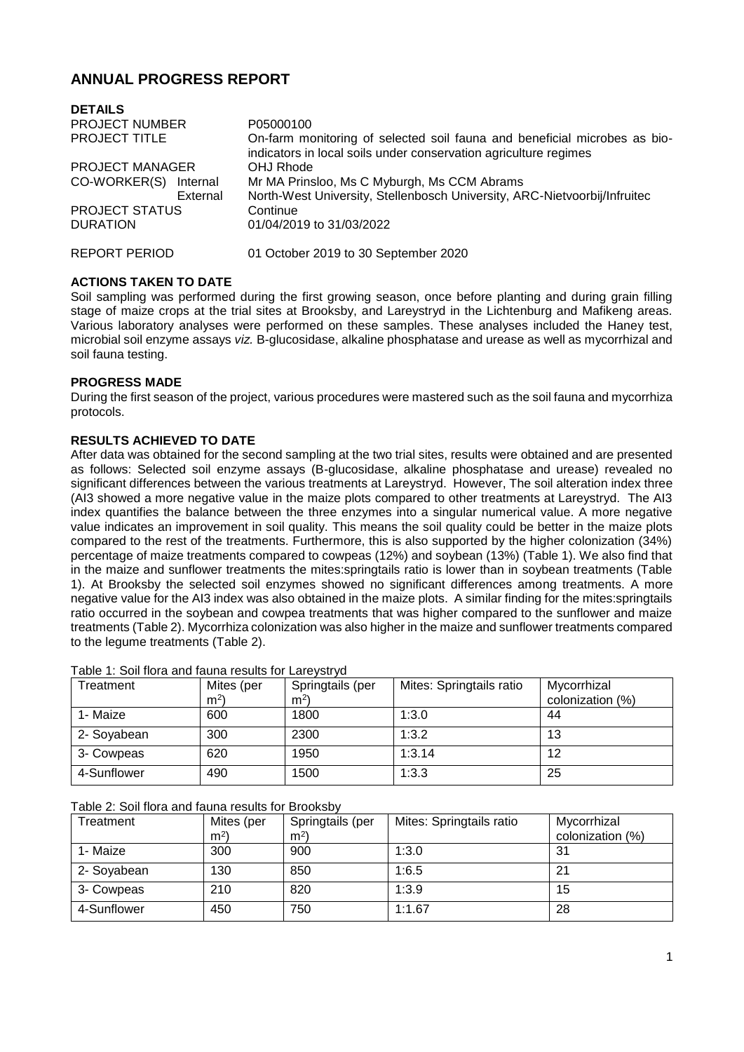# **ANNUAL PROGRESS REPORT**

| <b>DETAILS</b>         |                                                                                                                                               |  |  |  |
|------------------------|-----------------------------------------------------------------------------------------------------------------------------------------------|--|--|--|
| <b>PROJECT NUMBER</b>  | P05000100                                                                                                                                     |  |  |  |
| <b>PROJECT TITLE</b>   | On-farm monitoring of selected soil fauna and beneficial microbes as bio-<br>indicators in local soils under conservation agriculture regimes |  |  |  |
| <b>PROJECT MANAGER</b> | OHJ Rhode                                                                                                                                     |  |  |  |
| CO-WORKER(S) Internal  | Mr MA Prinsloo, Ms C Myburgh, Ms CCM Abrams                                                                                                   |  |  |  |
| External               | North-West University, Stellenbosch University, ARC-Nietvoorbij/Infruitec                                                                     |  |  |  |
| <b>PROJECT STATUS</b>  | Continue                                                                                                                                      |  |  |  |
| <b>DURATION</b>        | 01/04/2019 to 31/03/2022                                                                                                                      |  |  |  |
| REPORT PERIOD          | 01 October 2019 to 30 September 2020                                                                                                          |  |  |  |

## **ACTIONS TAKEN TO DATE**

Soil sampling was performed during the first growing season, once before planting and during grain filling stage of maize crops at the trial sites at Brooksby, and Lareystryd in the Lichtenburg and Mafikeng areas. Various laboratory analyses were performed on these samples. These analyses included the Haney test, microbial soil enzyme assays *viz.* B-glucosidase, alkaline phosphatase and urease as well as mycorrhizal and soil fauna testing.

#### **PROGRESS MADE**

During the first season of the project, various procedures were mastered such as the soil fauna and mycorrhiza protocols.

## **RESULTS ACHIEVED TO DATE**

After data was obtained for the second sampling at the two trial sites, results were obtained and are presented as follows: Selected soil enzyme assays (B-glucosidase, alkaline phosphatase and urease) revealed no significant differences between the various treatments at Lareystryd. However, The soil alteration index three (AI3 showed a more negative value in the maize plots compared to other treatments at Lareystryd. The AI3 index quantifies the balance between the three enzymes into a singular numerical value. A more negative value indicates an improvement in soil quality. This means the soil quality could be better in the maize plots compared to the rest of the treatments. Furthermore, this is also supported by the higher colonization (34%) percentage of maize treatments compared to cowpeas (12%) and soybean (13%) (Table 1). We also find that in the maize and sunflower treatments the mites:springtails ratio is lower than in soybean treatments (Table 1). At Brooksby the selected soil enzymes showed no significant differences among treatments. A more negative value for the AI3 index was also obtained in the maize plots. A similar finding for the mites:springtails ratio occurred in the soybean and cowpea treatments that was higher compared to the sunflower and maize treatments (Table 2). Mycorrhiza colonization was also higher in the maize and sunflower treatments compared to the legume treatments (Table 2).

| Treatment   | Mites (per     | Springtails (per | Mites: Springtails ratio | Mycorrhizal      |
|-------------|----------------|------------------|--------------------------|------------------|
|             | m <sup>2</sup> | m <sup>2</sup>   |                          | colonization (%) |
| 1- Maize    | 600            | 1800             | 1:3.0                    | 44               |
| 2- Soyabean | 300            | 2300             | 1:3.2                    | 13               |
| 3- Cowpeas  | 620            | 1950             | 1:3.14                   | 12               |
| 4-Sunflower | 490            | 1500             | 1:3.3                    | 25               |

#### Table 1: Soil flora and fauna results for Lareystryd

#### Table 2: Soil flora and fauna results for Brooksby

| Treatment   | Mites (per<br>m <sup>2</sup> | Springtails (per<br>m <sup>2</sup> | Mites: Springtails ratio | Mycorrhizal<br>colonization (%) |
|-------------|------------------------------|------------------------------------|--------------------------|---------------------------------|
| 1- Maize    | 300                          | 900                                | 1:3.0                    | 31                              |
| 2- Soyabean | 130                          | 850                                | 1:6.5                    | 2 <sup>1</sup>                  |
| 3- Cowpeas  | 210                          | 820                                | 1:3.9                    | 15                              |
| 4-Sunflower | 450                          | 750                                | 1:1.67                   | 28                              |